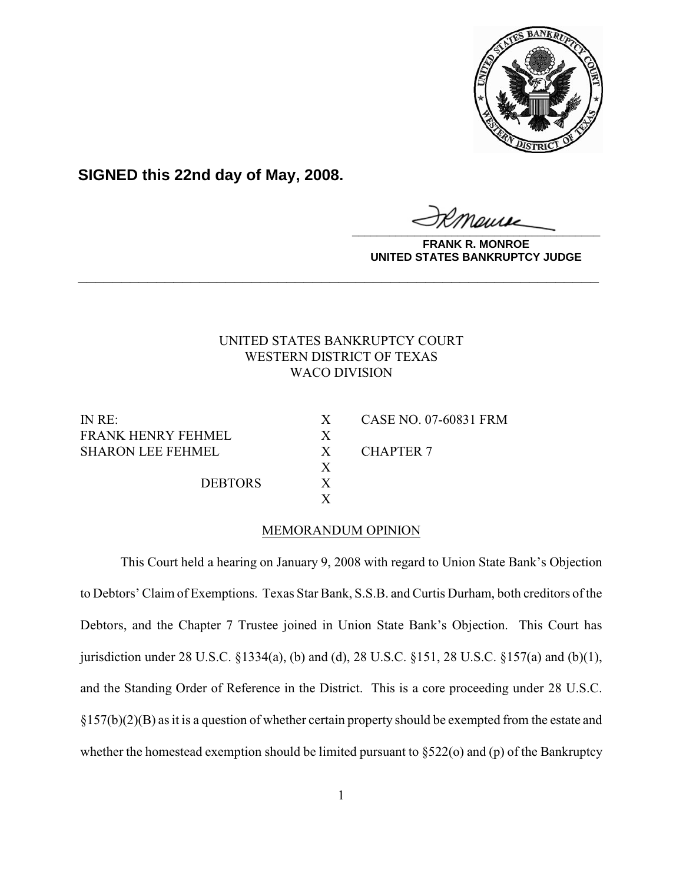

**SIGNED this 22nd day of May, 2008.**

**\_\_\_\_\_\_\_\_\_\_\_\_\_\_\_\_\_\_\_\_\_\_\_\_\_\_\_\_\_\_\_\_\_\_\_\_\_\_\_\_**

**FRANK R. MONROE UNITED STATES BANKRUPTCY JUDGE**

# UNITED STATES BANKRUPTCY COURT WESTERN DISTRICT OF TEXAS WACO DIVISION

**\_\_\_\_\_\_\_\_\_\_\_\_\_\_\_\_\_\_\_\_\_\_\_\_\_\_\_\_\_\_\_\_\_\_\_\_\_\_\_\_\_\_\_\_\_\_\_\_\_\_\_\_\_\_\_\_\_\_\_\_**

FRANK HENRY FEHMEL X SHARON LEE FEHMEL X CHAPTER 7

DEBTORS X

IN RE: X CASE NO. 07-60831 FRM

## MEMORANDUM OPINION

X

X

This Court held a hearing on January 9, 2008 with regard to Union State Bank's Objection to Debtors' Claim of Exemptions. Texas Star Bank, S.S.B. and Curtis Durham, both creditors of the Debtors, and the Chapter 7 Trustee joined in Union State Bank's Objection. This Court has jurisdiction under 28 U.S.C. §1334(a), (b) and (d), 28 U.S.C. §151, 28 U.S.C. §157(a) and (b)(1), and the Standing Order of Reference in the District. This is a core proceeding under 28 U.S.C. §157(b)(2)(B) as it is a question of whether certain property should be exempted from the estate and whether the homestead exemption should be limited pursuant to  $\S522$ (o) and (p) of the Bankruptcy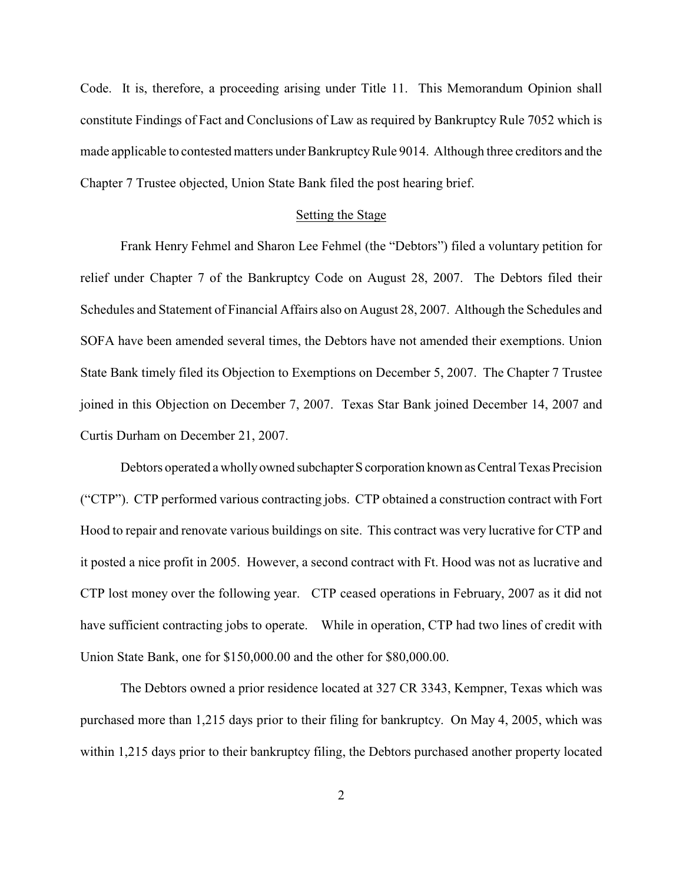Code. It is, therefore, a proceeding arising under Title 11. This Memorandum Opinion shall constitute Findings of Fact and Conclusions of Law as required by Bankruptcy Rule 7052 which is made applicable to contested matters under Bankruptcy Rule 9014. Although three creditors and the Chapter 7 Trustee objected, Union State Bank filed the post hearing brief.

### Setting the Stage

Frank Henry Fehmel and Sharon Lee Fehmel (the "Debtors") filed a voluntary petition for relief under Chapter 7 of the Bankruptcy Code on August 28, 2007. The Debtors filed their Schedules and Statement of Financial Affairs also on August 28, 2007. Although the Schedules and SOFA have been amended several times, the Debtors have not amended their exemptions. Union State Bank timely filed its Objection to Exemptions on December 5, 2007. The Chapter 7 Trustee joined in this Objection on December 7, 2007. Texas Star Bank joined December 14, 2007 and Curtis Durham on December 21, 2007.

Debtors operated a wholly owned subchapter S corporation known as Central Texas Precision ("CTP"). CTP performed various contracting jobs. CTP obtained a construction contract with Fort Hood to repair and renovate various buildings on site. This contract was very lucrative for CTP and it posted a nice profit in 2005. However, a second contract with Ft. Hood was not as lucrative and CTP lost money over the following year. CTP ceased operations in February, 2007 as it did not have sufficient contracting jobs to operate. While in operation, CTP had two lines of credit with Union State Bank, one for \$150,000.00 and the other for \$80,000.00.

The Debtors owned a prior residence located at 327 CR 3343, Kempner, Texas which was purchased more than 1,215 days prior to their filing for bankruptcy. On May 4, 2005, which was within 1,215 days prior to their bankruptcy filing, the Debtors purchased another property located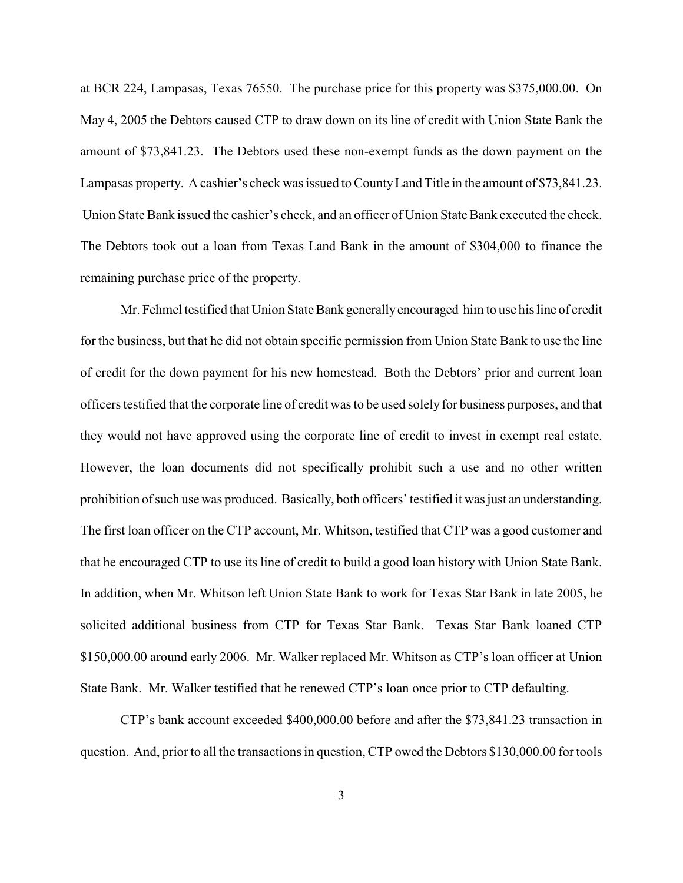at BCR 224, Lampasas, Texas 76550. The purchase price for this property was \$375,000.00. On May 4, 2005 the Debtors caused CTP to draw down on its line of credit with Union State Bank the amount of \$73,841.23. The Debtors used these non-exempt funds as the down payment on the Lampasas property. A cashier's check was issued to CountyLand Title in the amount of \$73,841.23. Union State Bank issued the cashier's check, and an officer of Union State Bank executed the check. The Debtors took out a loan from Texas Land Bank in the amount of \$304,000 to finance the remaining purchase price of the property.

Mr. Fehmel testified that Union State Bank generally encouraged him to use his line of credit for the business, but that he did not obtain specific permission from Union State Bank to use the line of credit for the down payment for his new homestead. Both the Debtors' prior and current loan officers testified that the corporate line of credit was to be used solely for business purposes, and that they would not have approved using the corporate line of credit to invest in exempt real estate. However, the loan documents did not specifically prohibit such a use and no other written prohibition of such use was produced. Basically, both officers' testified it was just an understanding. The first loan officer on the CTP account, Mr. Whitson, testified that CTP was a good customer and that he encouraged CTP to use its line of credit to build a good loan history with Union State Bank. In addition, when Mr. Whitson left Union State Bank to work for Texas Star Bank in late 2005, he solicited additional business from CTP for Texas Star Bank. Texas Star Bank loaned CTP \$150,000.00 around early 2006. Mr. Walker replaced Mr. Whitson as CTP's loan officer at Union State Bank. Mr. Walker testified that he renewed CTP's loan once prior to CTP defaulting.

CTP's bank account exceeded \$400,000.00 before and after the \$73,841.23 transaction in question. And, prior to all the transactions in question, CTP owed the Debtors \$130,000.00 for tools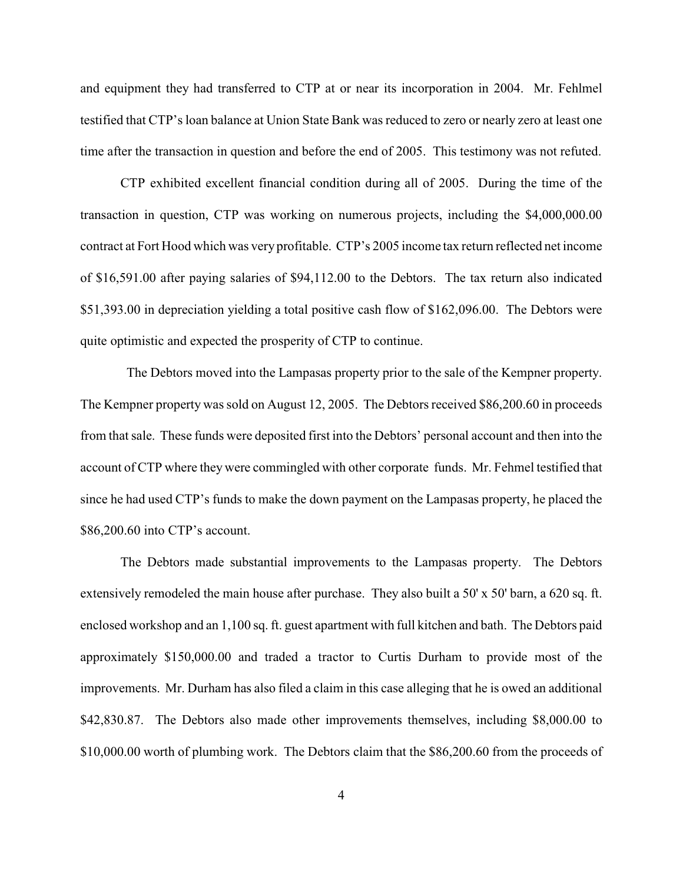and equipment they had transferred to CTP at or near its incorporation in 2004. Mr. Fehlmel testified that CTP's loan balance at Union State Bank was reduced to zero or nearly zero at least one time after the transaction in question and before the end of 2005. This testimony was not refuted.

CTP exhibited excellent financial condition during all of 2005. During the time of the transaction in question, CTP was working on numerous projects, including the \$4,000,000.00 contract at Fort Hood which was very profitable. CTP's 2005 income tax return reflected net income of \$16,591.00 after paying salaries of \$94,112.00 to the Debtors. The tax return also indicated \$51,393.00 in depreciation yielding a total positive cash flow of \$162,096.00. The Debtors were quite optimistic and expected the prosperity of CTP to continue.

The Debtors moved into the Lampasas property prior to the sale of the Kempner property. The Kempner property was sold on August 12, 2005. The Debtors received \$86,200.60 in proceeds from that sale. These funds were deposited first into the Debtors' personal account and then into the account of CTP where they were commingled with other corporate funds. Mr. Fehmel testified that since he had used CTP's funds to make the down payment on the Lampasas property, he placed the \$86,200.60 into CTP's account.

The Debtors made substantial improvements to the Lampasas property. The Debtors extensively remodeled the main house after purchase. They also built a 50' x 50' barn, a 620 sq. ft. enclosed workshop and an 1,100 sq. ft. guest apartment with full kitchen and bath. The Debtors paid approximately \$150,000.00 and traded a tractor to Curtis Durham to provide most of the improvements. Mr. Durham has also filed a claim in this case alleging that he is owed an additional \$42,830.87. The Debtors also made other improvements themselves, including \$8,000.00 to \$10,000.00 worth of plumbing work. The Debtors claim that the \$86,200.60 from the proceeds of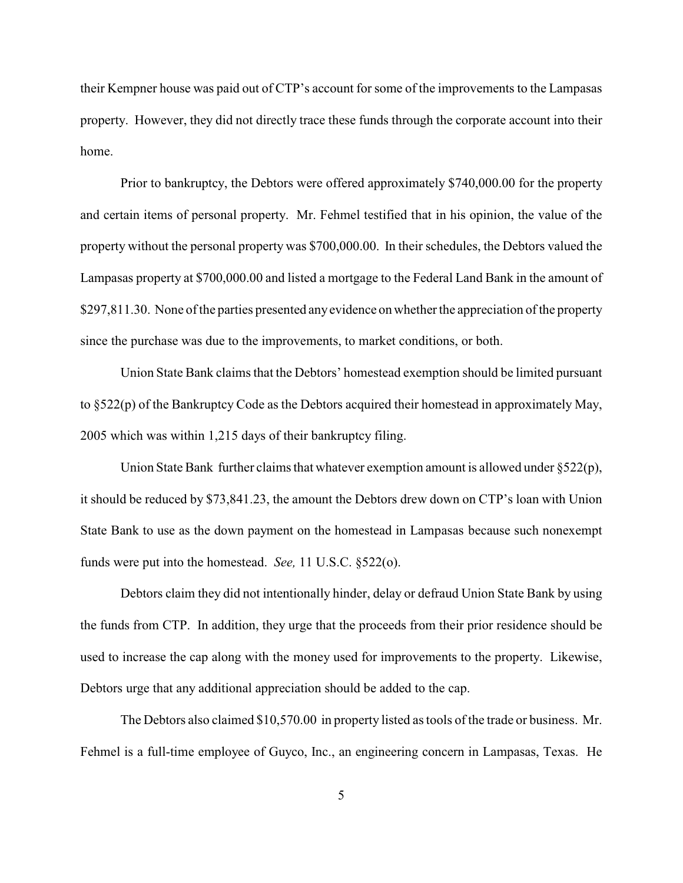their Kempner house was paid out of CTP's account for some of the improvements to the Lampasas property. However, they did not directly trace these funds through the corporate account into their home.

Prior to bankruptcy, the Debtors were offered approximately \$740,000.00 for the property and certain items of personal property. Mr. Fehmel testified that in his opinion, the value of the property without the personal property was \$700,000.00. In their schedules, the Debtors valued the Lampasas property at \$700,000.00 and listed a mortgage to the Federal Land Bank in the amount of \$297,811.30. None of the parties presented any evidence on whether the appreciation of the property since the purchase was due to the improvements, to market conditions, or both.

Union State Bank claims that the Debtors' homestead exemption should be limited pursuant to §522(p) of the Bankruptcy Code as the Debtors acquired their homestead in approximately May, 2005 which was within 1,215 days of their bankruptcy filing.

Union State Bank further claims that whatever exemption amount is allowed under  $\S522(p)$ , it should be reduced by \$73,841.23, the amount the Debtors drew down on CTP's loan with Union State Bank to use as the down payment on the homestead in Lampasas because such nonexempt funds were put into the homestead. *See,* 11 U.S.C. §522(o).

Debtors claim they did not intentionally hinder, delay or defraud Union State Bank by using the funds from CTP. In addition, they urge that the proceeds from their prior residence should be used to increase the cap along with the money used for improvements to the property. Likewise, Debtors urge that any additional appreciation should be added to the cap.

The Debtors also claimed \$10,570.00 in property listed as tools of the trade or business. Mr. Fehmel is a full-time employee of Guyco, Inc., an engineering concern in Lampasas, Texas. He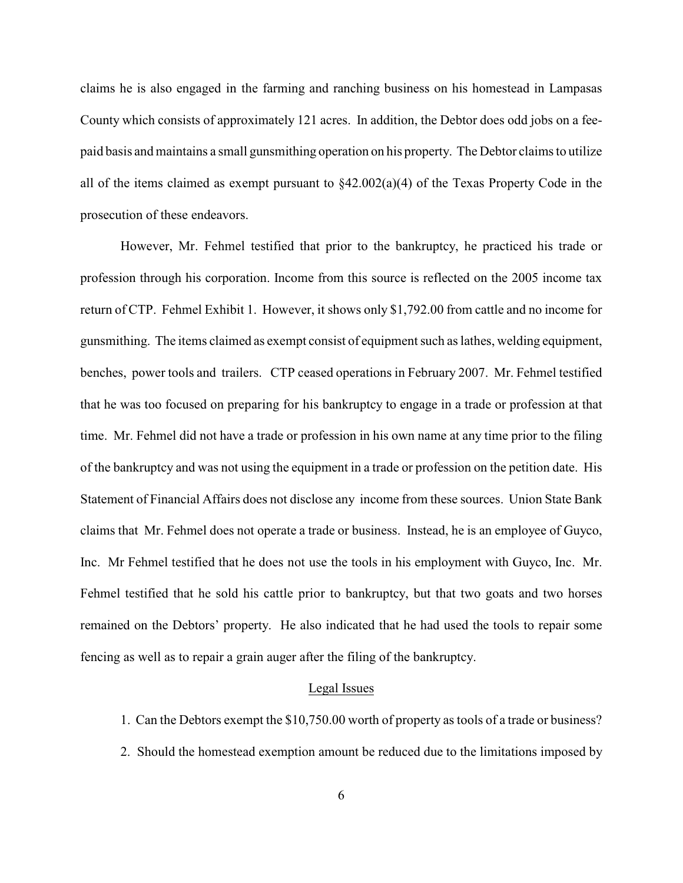claims he is also engaged in the farming and ranching business on his homestead in Lampasas County which consists of approximately 121 acres. In addition, the Debtor does odd jobs on a feepaid basis and maintains a small gunsmithing operation on his property. The Debtor claims to utilize all of the items claimed as exempt pursuant to §42.002(a)(4) of the Texas Property Code in the prosecution of these endeavors.

However, Mr. Fehmel testified that prior to the bankruptcy, he practiced his trade or profession through his corporation. Income from this source is reflected on the 2005 income tax return of CTP. Fehmel Exhibit 1. However, it shows only \$1,792.00 from cattle and no income for gunsmithing. The items claimed as exempt consist of equipment such as lathes, welding equipment, benches, power tools and trailers. CTP ceased operations in February 2007. Mr. Fehmel testified that he was too focused on preparing for his bankruptcy to engage in a trade or profession at that time. Mr. Fehmel did not have a trade or profession in his own name at any time prior to the filing of the bankruptcy and was not using the equipment in a trade or profession on the petition date. His Statement of Financial Affairs does not disclose any income from these sources. Union State Bank claims that Mr. Fehmel does not operate a trade or business. Instead, he is an employee of Guyco, Inc. Mr Fehmel testified that he does not use the tools in his employment with Guyco, Inc. Mr. Fehmel testified that he sold his cattle prior to bankruptcy, but that two goats and two horses remained on the Debtors' property. He also indicated that he had used the tools to repair some fencing as well as to repair a grain auger after the filing of the bankruptcy.

#### Legal Issues

- 1. Can the Debtors exempt the \$10,750.00 worth of property as tools of a trade or business?
- 2. Should the homestead exemption amount be reduced due to the limitations imposed by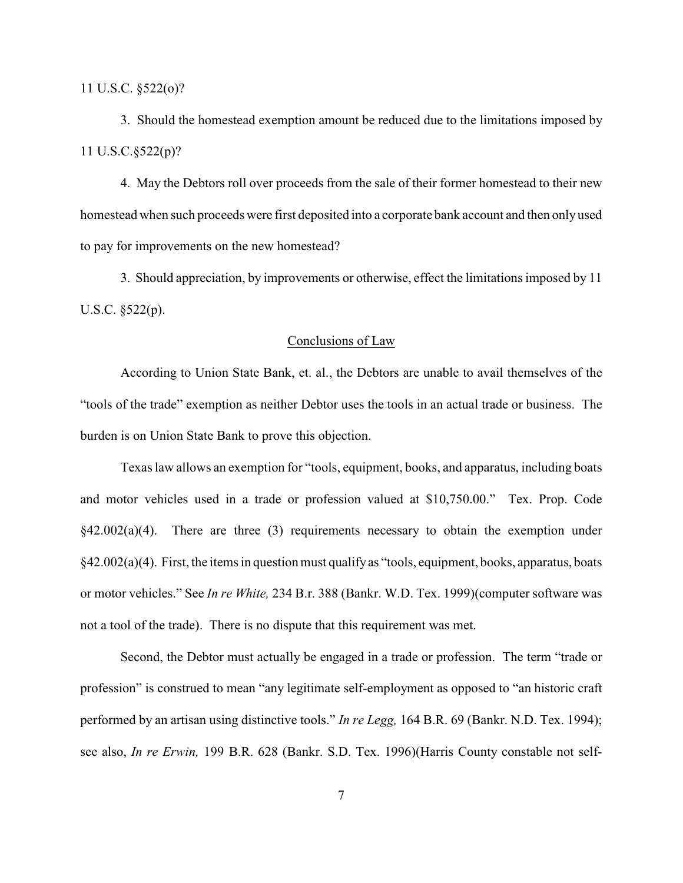11 U.S.C. §522(o)?

3. Should the homestead exemption amount be reduced due to the limitations imposed by 11 U.S.C.§522(p)?

4. May the Debtors roll over proceeds from the sale of their former homestead to their new homestead when such proceeds were first deposited into a corporate bank account and then only used to pay for improvements on the new homestead?

3. Should appreciation, by improvements or otherwise, effect the limitations imposed by 11 U.S.C. §522(p).

#### Conclusions of Law

According to Union State Bank, et. al., the Debtors are unable to avail themselves of the "tools of the trade" exemption as neither Debtor uses the tools in an actual trade or business. The burden is on Union State Bank to prove this objection.

Texas law allows an exemption for "tools, equipment, books, and apparatus, including boats and motor vehicles used in a trade or profession valued at \$10,750.00." Tex. Prop. Code  $§42.002(a)(4)$ . There are three (3) requirements necessary to obtain the exemption under  $§42.002(a)(4)$ . First, the items in question must qualify as "tools, equipment, books, apparatus, boats or motor vehicles." See *In re White,* 234 B.r. 388 (Bankr. W.D. Tex. 1999)(computer software was not a tool of the trade). There is no dispute that this requirement was met.

Second, the Debtor must actually be engaged in a trade or profession. The term "trade or profession" is construed to mean "any legitimate self-employment as opposed to "an historic craft performed by an artisan using distinctive tools." *In re Legg,* 164 B.R. 69 (Bankr. N.D. Tex. 1994); see also, *In re Erwin,* 199 B.R. 628 (Bankr. S.D. Tex. 1996)(Harris County constable not self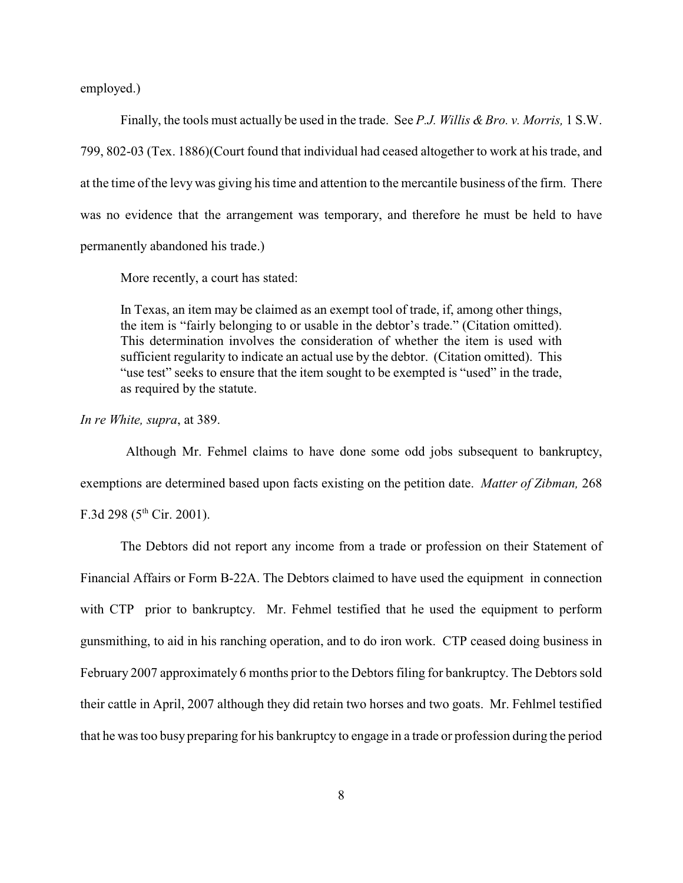employed.)

Finally, the tools must actually be used in the trade. See *P.J. Willis & Bro. v. Morris,* 1 S.W. 799, 802-03 (Tex. 1886)(Court found that individual had ceased altogether to work at his trade, and at the time of the levy was giving his time and attention to the mercantile business of the firm. There was no evidence that the arrangement was temporary, and therefore he must be held to have permanently abandoned his trade.)

More recently, a court has stated:

In Texas, an item may be claimed as an exempt tool of trade, if, among other things, the item is "fairly belonging to or usable in the debtor's trade." (Citation omitted). This determination involves the consideration of whether the item is used with sufficient regularity to indicate an actual use by the debtor. (Citation omitted). This "use test" seeks to ensure that the item sought to be exempted is "used" in the trade, as required by the statute.

*In re White, supra*, at 389.

 Although Mr. Fehmel claims to have done some odd jobs subsequent to bankruptcy, exemptions are determined based upon facts existing on the petition date. *Matter of Zibman,* 268 F.3d 298 ( $5^{th}$  Cir. 2001).

The Debtors did not report any income from a trade or profession on their Statement of Financial Affairs or Form B-22A. The Debtors claimed to have used the equipment in connection with CTP prior to bankruptcy. Mr. Fehmel testified that he used the equipment to perform gunsmithing, to aid in his ranching operation, and to do iron work. CTP ceased doing business in February 2007 approximately 6 months prior to the Debtors filing for bankruptcy. The Debtors sold their cattle in April, 2007 although they did retain two horses and two goats. Mr. Fehlmel testified that he was too busy preparing for his bankruptcy to engage in a trade or profession during the period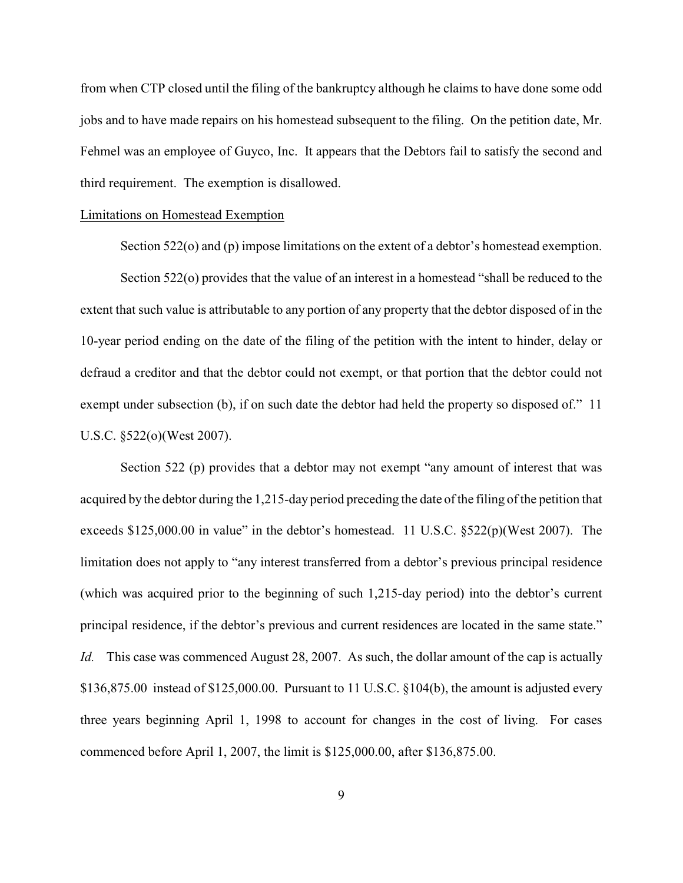from when CTP closed until the filing of the bankruptcy although he claims to have done some odd jobs and to have made repairs on his homestead subsequent to the filing. On the petition date, Mr. Fehmel was an employee of Guyco, Inc. It appears that the Debtors fail to satisfy the second and third requirement. The exemption is disallowed.

### Limitations on Homestead Exemption

Section 522(o) and (p) impose limitations on the extent of a debtor's homestead exemption.

Section 522(o) provides that the value of an interest in a homestead "shall be reduced to the extent that such value is attributable to any portion of any property that the debtor disposed of in the 10-year period ending on the date of the filing of the petition with the intent to hinder, delay or defraud a creditor and that the debtor could not exempt, or that portion that the debtor could not exempt under subsection (b), if on such date the debtor had held the property so disposed of." 11 U.S.C. §522(o)(West 2007).

Section 522 (p) provides that a debtor may not exempt "any amount of interest that was acquired by the debtor during the 1,215-day period preceding the date of the filing of the petition that exceeds \$125,000.00 in value" in the debtor's homestead. 11 U.S.C. §522(p)(West 2007). The limitation does not apply to "any interest transferred from a debtor's previous principal residence (which was acquired prior to the beginning of such 1,215-day period) into the debtor's current principal residence, if the debtor's previous and current residences are located in the same state." *Id.* This case was commenced August 28, 2007. As such, the dollar amount of the cap is actually \$136,875.00 instead of \$125,000.00. Pursuant to 11 U.S.C. §104(b), the amount is adjusted every three years beginning April 1, 1998 to account for changes in the cost of living. For cases commenced before April 1, 2007, the limit is \$125,000.00, after \$136,875.00.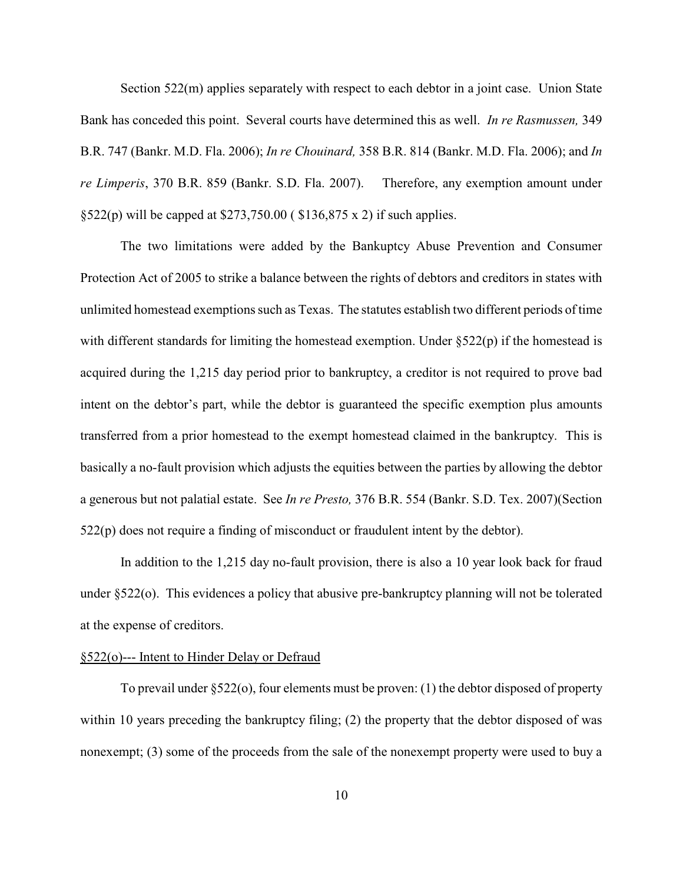Section 522(m) applies separately with respect to each debtor in a joint case. Union State Bank has conceded this point. Several courts have determined this as well. *In re Rasmussen,* 349 B.R. 747 (Bankr. M.D. Fla. 2006); *In re Chouinard,* 358 B.R. 814 (Bankr. M.D. Fla. 2006); and *In re Limperis*, 370 B.R. 859 (Bankr. S.D. Fla. 2007). Therefore, any exemption amount under §522(p) will be capped at \$273,750.00 ( \$136,875 x 2) if such applies.

The two limitations were added by the Bankuptcy Abuse Prevention and Consumer Protection Act of 2005 to strike a balance between the rights of debtors and creditors in states with unlimited homestead exemptions such as Texas. The statutes establish two different periods of time with different standards for limiting the homestead exemption. Under  $\S 522(p)$  if the homestead is acquired during the 1,215 day period prior to bankruptcy, a creditor is not required to prove bad intent on the debtor's part, while the debtor is guaranteed the specific exemption plus amounts transferred from a prior homestead to the exempt homestead claimed in the bankruptcy. This is basically a no-fault provision which adjusts the equities between the parties by allowing the debtor a generous but not palatial estate. See *In re Presto,* 376 B.R. 554 (Bankr. S.D. Tex. 2007)(Section 522(p) does not require a finding of misconduct or fraudulent intent by the debtor).

In addition to the 1,215 day no-fault provision, there is also a 10 year look back for fraud under  $\S522$ (o). This evidences a policy that abusive pre-bankruptcy planning will not be tolerated at the expense of creditors.

### §522(o)--- Intent to Hinder Delay or Defraud

To prevail under §522(o), four elements must be proven: (1) the debtor disposed of property within 10 years preceding the bankruptcy filing; (2) the property that the debtor disposed of was nonexempt; (3) some of the proceeds from the sale of the nonexempt property were used to buy a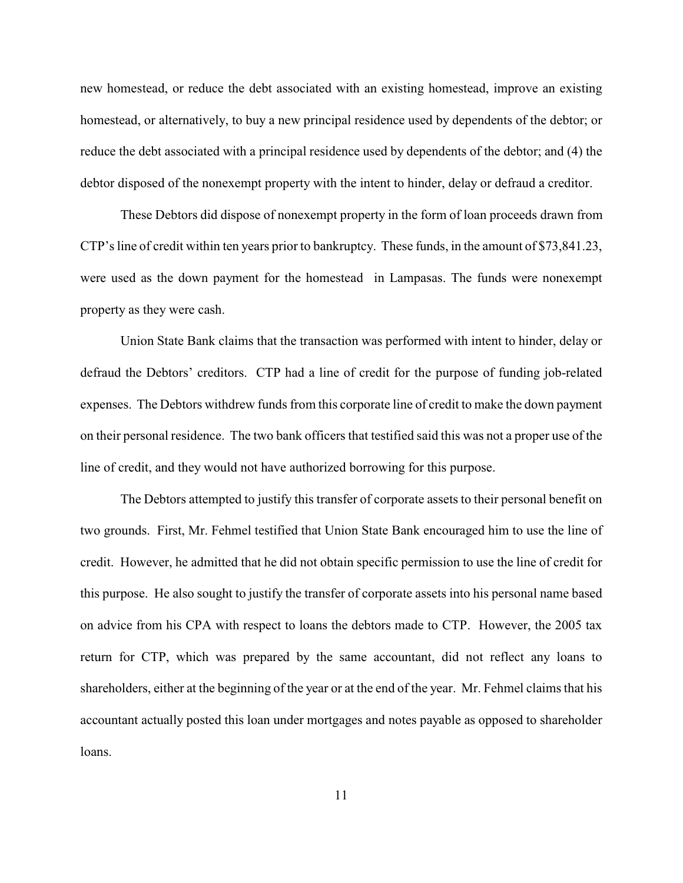new homestead, or reduce the debt associated with an existing homestead, improve an existing homestead, or alternatively, to buy a new principal residence used by dependents of the debtor; or reduce the debt associated with a principal residence used by dependents of the debtor; and (4) the debtor disposed of the nonexempt property with the intent to hinder, delay or defraud a creditor.

These Debtors did dispose of nonexempt property in the form of loan proceeds drawn from CTP's line of credit within ten years prior to bankruptcy. These funds, in the amount of \$73,841.23, were used as the down payment for the homestead in Lampasas. The funds were nonexempt property as they were cash.

Union State Bank claims that the transaction was performed with intent to hinder, delay or defraud the Debtors' creditors. CTP had a line of credit for the purpose of funding job-related expenses. The Debtors withdrew funds from this corporate line of credit to make the down payment on their personal residence. The two bank officers that testified said this was not a proper use of the line of credit, and they would not have authorized borrowing for this purpose.

The Debtors attempted to justify this transfer of corporate assets to their personal benefit on two grounds. First, Mr. Fehmel testified that Union State Bank encouraged him to use the line of credit. However, he admitted that he did not obtain specific permission to use the line of credit for this purpose. He also sought to justify the transfer of corporate assets into his personal name based on advice from his CPA with respect to loans the debtors made to CTP. However, the 2005 tax return for CTP, which was prepared by the same accountant, did not reflect any loans to shareholders, either at the beginning of the year or at the end of the year. Mr. Fehmel claims that his accountant actually posted this loan under mortgages and notes payable as opposed to shareholder loans.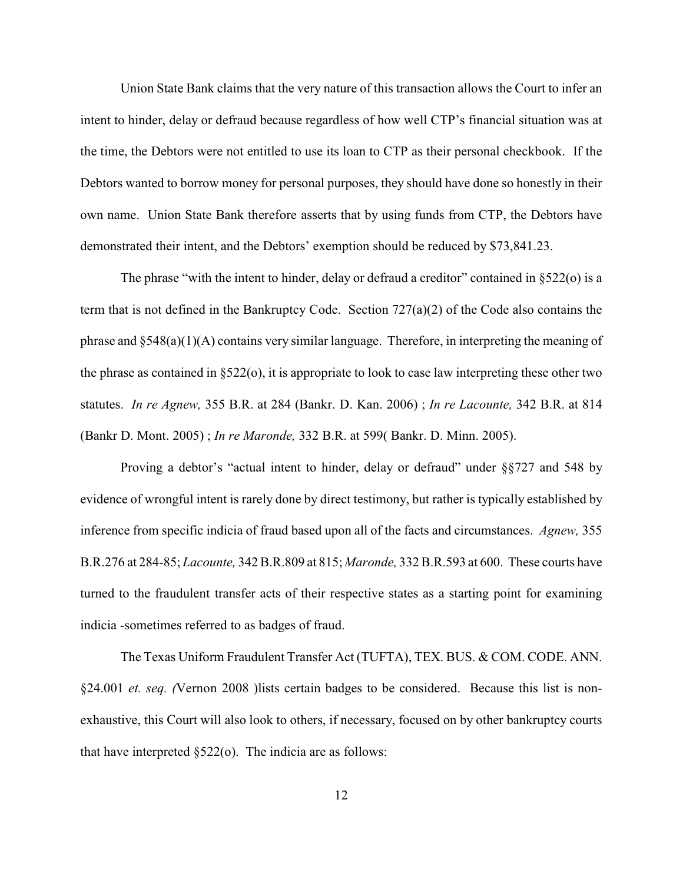Union State Bank claims that the very nature of this transaction allows the Court to infer an intent to hinder, delay or defraud because regardless of how well CTP's financial situation was at the time, the Debtors were not entitled to use its loan to CTP as their personal checkbook. If the Debtors wanted to borrow money for personal purposes, they should have done so honestly in their own name. Union State Bank therefore asserts that by using funds from CTP, the Debtors have demonstrated their intent, and the Debtors' exemption should be reduced by \$73,841.23.

The phrase "with the intent to hinder, delay or defraud a creditor" contained in §522(o) is a term that is not defined in the Bankruptcy Code. Section 727(a)(2) of the Code also contains the phrase and §548(a)(1)(A) contains very similar language. Therefore, in interpreting the meaning of the phrase as contained in §522(o), it is appropriate to look to case law interpreting these other two statutes. *In re Agnew,* 355 B.R. at 284 (Bankr. D. Kan. 2006) ; *In re Lacounte,* 342 B.R. at 814 (Bankr D. Mont. 2005) ; *In re Maronde,* 332 B.R. at 599( Bankr. D. Minn. 2005).

Proving a debtor's "actual intent to hinder, delay or defraud" under §§727 and 548 by evidence of wrongful intent is rarely done by direct testimony, but rather is typically established by inference from specific indicia of fraud based upon all of the facts and circumstances. *Agnew,* 355 B.R.276 at 284-85; *Lacounte,* 342 B.R.809 at 815; *Maronde,* 332 B.R.593 at 600. These courts have turned to the fraudulent transfer acts of their respective states as a starting point for examining indicia -sometimes referred to as badges of fraud.

The Texas Uniform Fraudulent Transfer Act (TUFTA), TEX. BUS. & COM. CODE. ANN. §24.001 *et. seq.* (Vernon 2008 )lists certain badges to be considered. Because this list is nonexhaustive, this Court will also look to others, if necessary, focused on by other bankruptcy courts that have interpreted  $\S522$ (o). The indicia are as follows: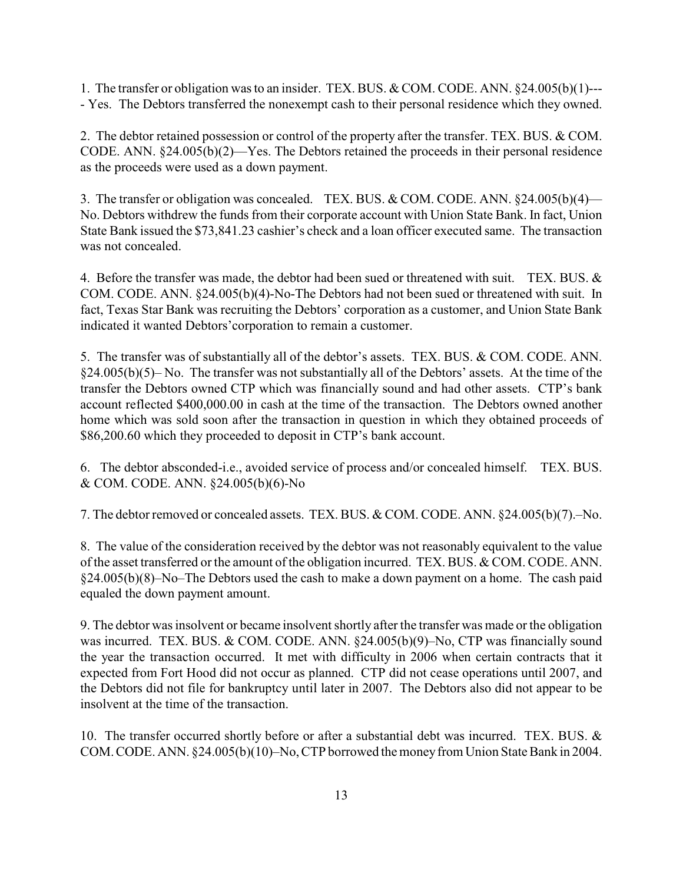1. The transfer or obligation was to an insider. TEX. BUS. & COM. CODE. ANN. §24.005(b)(1)--- - Yes. The Debtors transferred the nonexempt cash to their personal residence which they owned.

2. The debtor retained possession or control of the property after the transfer. TEX. BUS. & COM. CODE. ANN. §24.005(b)(2)—Yes. The Debtors retained the proceeds in their personal residence as the proceeds were used as a down payment.

3. The transfer or obligation was concealed. TEX. BUS. & COM. CODE. ANN. §24.005(b)(4)— No. Debtors withdrew the funds from their corporate account with Union State Bank. In fact, Union State Bank issued the \$73,841.23 cashier's check and a loan officer executed same. The transaction was not concealed.

4. Before the transfer was made, the debtor had been sued or threatened with suit. TEX. BUS. & COM. CODE. ANN. §24.005(b)(4)-No-The Debtors had not been sued or threatened with suit. In fact, Texas Star Bank was recruiting the Debtors' corporation as a customer, and Union State Bank indicated it wanted Debtors'corporation to remain a customer.

5. The transfer was of substantially all of the debtor's assets. TEX. BUS. & COM. CODE. ANN. §24.005(b)(5)– No. The transfer was not substantially all of the Debtors' assets. At the time of the transfer the Debtors owned CTP which was financially sound and had other assets. CTP's bank account reflected \$400,000.00 in cash at the time of the transaction. The Debtors owned another home which was sold soon after the transaction in question in which they obtained proceeds of \$86,200.60 which they proceeded to deposit in CTP's bank account.

6. The debtor absconded-i.e., avoided service of process and/or concealed himself. TEX. BUS. & COM. CODE. ANN. §24.005(b)(6)-No

7. The debtor removed or concealed assets. TEX. BUS. & COM. CODE. ANN. §24.005(b)(7).–No.

8. The value of the consideration received by the debtor was not reasonably equivalent to the value of the asset transferred or the amount of the obligation incurred. TEX. BUS. & COM. CODE. ANN. §24.005(b)(8)–No–The Debtors used the cash to make a down payment on a home. The cash paid equaled the down payment amount.

9. The debtor was insolvent or became insolvent shortly after the transfer was made or the obligation was incurred. TEX. BUS. & COM. CODE. ANN. §24.005(b)(9)–No, CTP was financially sound the year the transaction occurred. It met with difficulty in 2006 when certain contracts that it expected from Fort Hood did not occur as planned. CTP did not cease operations until 2007, and the Debtors did not file for bankruptcy until later in 2007. The Debtors also did not appear to be insolvent at the time of the transaction.

10. The transfer occurred shortly before or after a substantial debt was incurred. TEX. BUS. & COM. CODE. ANN. §24.005(b)(10)–No, CTP borrowed the money from Union State Bank in 2004.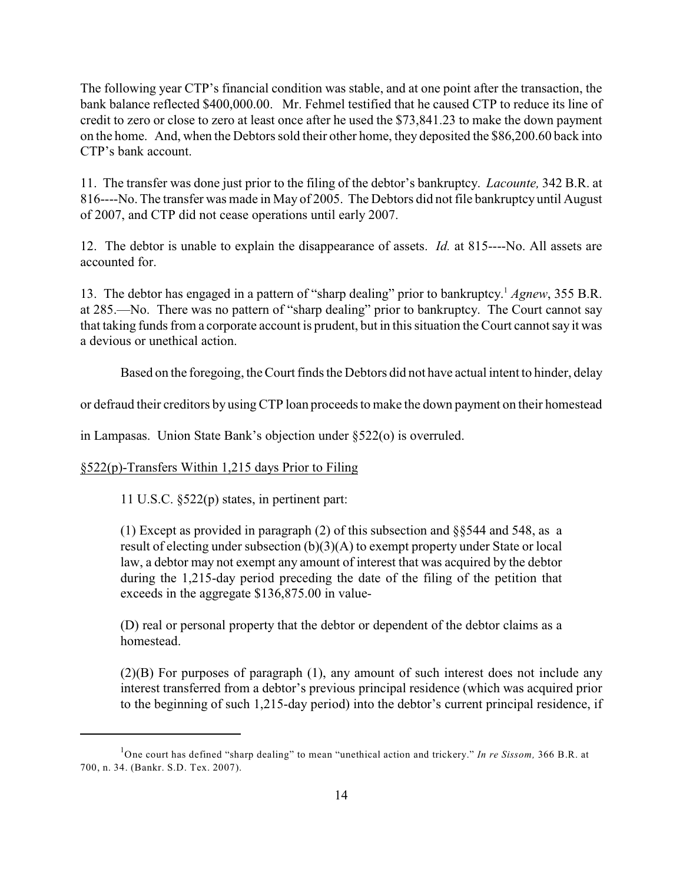The following year CTP's financial condition was stable, and at one point after the transaction, the bank balance reflected \$400,000.00. Mr. Fehmel testified that he caused CTP to reduce its line of credit to zero or close to zero at least once after he used the \$73,841.23 to make the down payment on the home. And, when the Debtorssold their other home, they deposited the \$86,200.60 back into CTP's bank account.

11. The transfer was done just prior to the filing of the debtor's bankruptcy. *Lacounte,* 342 B.R. at 816----No. The transfer was made in May of 2005. The Debtors did not file bankruptcy until August of 2007, and CTP did not cease operations until early 2007.

12. The debtor is unable to explain the disappearance of assets. *Id.* at 815----No. All assets are accounted for.

13. The debtor has engaged in a pattern of "sharp dealing" prior to bankruptcy. *Agnew*, 355 B.R. <sup>1</sup> at 285.—No. There was no pattern of "sharp dealing" prior to bankruptcy. The Court cannot say that taking funds from a corporate account is prudent, but in this situation the Court cannot say it was a devious or unethical action.

Based on the foregoing, the Court finds the Debtors did not have actual intent to hinder, delay

or defraud their creditors by using CTP loan proceeds to make the down payment on their homestead

in Lampasas. Union State Bank's objection under §522(o) is overruled.

#### §522(p)-Transfers Within 1,215 days Prior to Filing

11 U.S.C. §522(p) states, in pertinent part:

(1) Except as provided in paragraph (2) of this subsection and §§544 and 548, as a result of electing under subsection (b)(3)(A) to exempt property under State or local law, a debtor may not exempt any amount of interest that was acquired by the debtor during the 1,215-day period preceding the date of the filing of the petition that exceeds in the aggregate \$136,875.00 in value-

(D) real or personal property that the debtor or dependent of the debtor claims as a homestead.

(2)(B) For purposes of paragraph (1), any amount of such interest does not include any interest transferred from a debtor's previous principal residence (which was acquired prior to the beginning of such 1,215-day period) into the debtor's current principal residence, if

<sup>&</sup>lt;sup>1</sup>One court has defined "sharp dealing" to mean "unethical action and trickery." *In re Sissom*, 366 B.R. at 700, n. 34. (Bankr. S.D. Tex. 2007).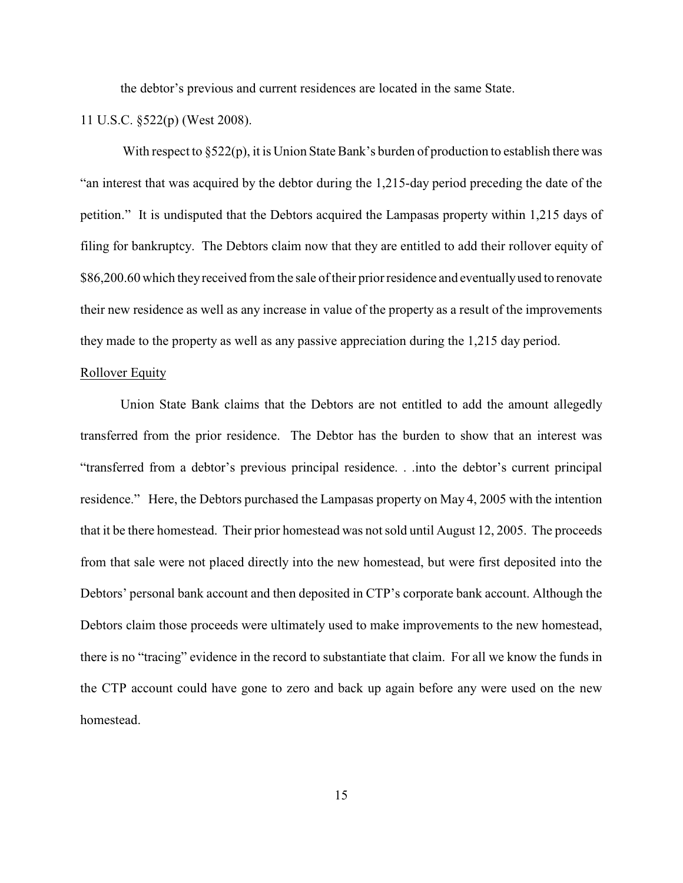the debtor's previous and current residences are located in the same State.

11 U.S.C. §522(p) (West 2008).

With respect to  $\S522(p)$ , it is Union State Bank's burden of production to establish there was "an interest that was acquired by the debtor during the 1,215-day period preceding the date of the petition." It is undisputed that the Debtors acquired the Lampasas property within 1,215 days of filing for bankruptcy. The Debtors claim now that they are entitled to add their rollover equity of \$86,200.60 which they received from the sale of their prior residence and eventually used to renovate their new residence as well as any increase in value of the property as a result of the improvements they made to the property as well as any passive appreciation during the 1,215 day period.

## Rollover Equity

Union State Bank claims that the Debtors are not entitled to add the amount allegedly transferred from the prior residence. The Debtor has the burden to show that an interest was "transferred from a debtor's previous principal residence. . .into the debtor's current principal residence." Here, the Debtors purchased the Lampasas property on May 4, 2005 with the intention that it be there homestead. Their prior homestead was not sold until August 12, 2005. The proceeds from that sale were not placed directly into the new homestead, but were first deposited into the Debtors' personal bank account and then deposited in CTP's corporate bank account. Although the Debtors claim those proceeds were ultimately used to make improvements to the new homestead, there is no "tracing" evidence in the record to substantiate that claim. For all we know the funds in the CTP account could have gone to zero and back up again before any were used on the new homestead.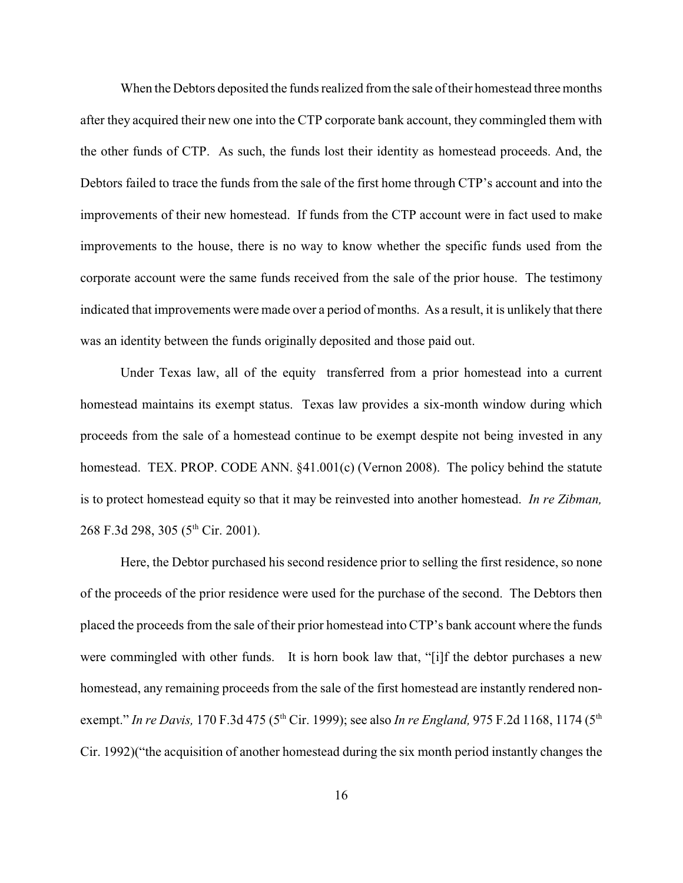When the Debtors deposited the funds realized from the sale of their homestead three months after they acquired their new one into the CTP corporate bank account, they commingled them with the other funds of CTP. As such, the funds lost their identity as homestead proceeds. And, the Debtors failed to trace the funds from the sale of the first home through CTP's account and into the improvements of their new homestead. If funds from the CTP account were in fact used to make improvements to the house, there is no way to know whether the specific funds used from the corporate account were the same funds received from the sale of the prior house. The testimony indicated that improvements were made over a period of months. As a result, it is unlikely that there was an identity between the funds originally deposited and those paid out.

Under Texas law, all of the equity transferred from a prior homestead into a current homestead maintains its exempt status. Texas law provides a six-month window during which proceeds from the sale of a homestead continue to be exempt despite not being invested in any homestead. TEX. PROP. CODE ANN. §41.001(c) (Vernon 2008). The policy behind the statute is to protect homestead equity so that it may be reinvested into another homestead. *In re Zibman,* 268 F.3d 298, 305 (5<sup>th</sup> Cir. 2001).

Here, the Debtor purchased his second residence prior to selling the first residence, so none of the proceeds of the prior residence were used for the purchase of the second. The Debtors then placed the proceeds from the sale of their prior homestead into CTP's bank account where the funds were commingled with other funds. It is horn book law that, "[i]f the debtor purchases a new homestead, any remaining proceeds from the sale of the first homestead are instantly rendered nonexempt." *In re Davis,* 170 F.3d 475 (5<sup>th</sup> Cir. 1999); see also *In re England,* 975 F.2d 1168, 1174 (5<sup>th</sup> Cir. 1992)("the acquisition of another homestead during the six month period instantly changes the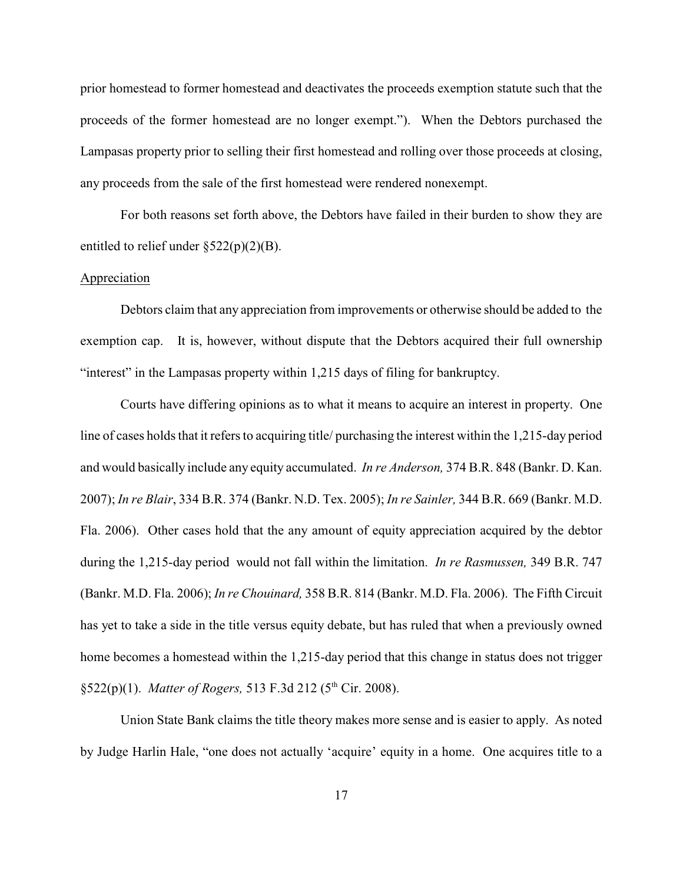prior homestead to former homestead and deactivates the proceeds exemption statute such that the proceeds of the former homestead are no longer exempt."). When the Debtors purchased the Lampasas property prior to selling their first homestead and rolling over those proceeds at closing, any proceeds from the sale of the first homestead were rendered nonexempt.

For both reasons set forth above, the Debtors have failed in their burden to show they are entitled to relief under  $\S 522(p)(2)(B)$ .

### Appreciation

Debtors claim that any appreciation from improvements or otherwise should be added to the exemption cap. It is, however, without dispute that the Debtors acquired their full ownership "interest" in the Lampasas property within 1,215 days of filing for bankruptcy.

Courts have differing opinions as to what it means to acquire an interest in property. One line of cases holds that it refers to acquiring title/ purchasing the interest within the 1,215-day period and would basically include any equity accumulated. *In re Anderson,* 374 B.R. 848 (Bankr. D. Kan. 2007); *In re Blair*, 334 B.R. 374 (Bankr. N.D. Tex. 2005); *In re Sainler,* 344 B.R. 669 (Bankr. M.D. Fla. 2006). Other cases hold that the any amount of equity appreciation acquired by the debtor during the 1,215-day period would not fall within the limitation. *In re Rasmussen,* 349 B.R. 747 (Bankr. M.D. Fla. 2006); *In re Chouinard,* 358 B.R. 814 (Bankr. M.D. Fla. 2006). The Fifth Circuit has yet to take a side in the title versus equity debate, but has ruled that when a previously owned home becomes a homestead within the 1,215-day period that this change in status does not trigger §522(p)(1). *Matter of Rogers*, 513 F.3d 212 (5<sup>th</sup> Cir. 2008).

Union State Bank claims the title theory makes more sense and is easier to apply. As noted by Judge Harlin Hale, "one does not actually 'acquire' equity in a home. One acquires title to a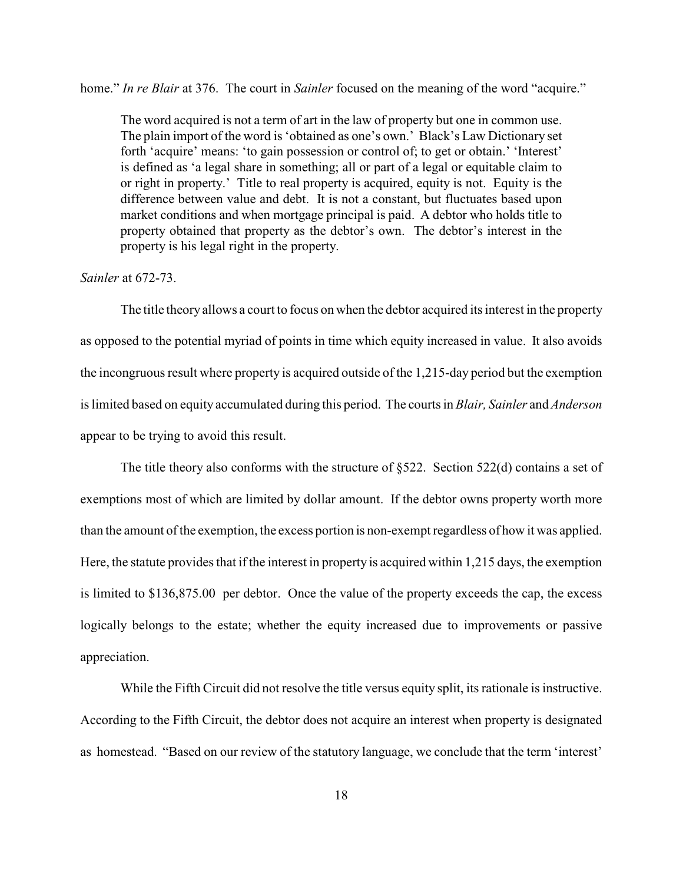home." *In re Blair* at 376. The court in *Sainler* focused on the meaning of the word "acquire."

The word acquired is not a term of art in the law of property but one in common use. The plain import of the word is 'obtained as one's own.' Black's Law Dictionary set forth 'acquire' means: 'to gain possession or control of; to get or obtain.' 'Interest' is defined as 'a legal share in something; all or part of a legal or equitable claim to or right in property.' Title to real property is acquired, equity is not. Equity is the difference between value and debt. It is not a constant, but fluctuates based upon market conditions and when mortgage principal is paid. A debtor who holds title to property obtained that property as the debtor's own. The debtor's interest in the property is his legal right in the property.

### *Sainler* at 672-73.

The title theory allows a court to focus on when the debtor acquired its interest in the property as opposed to the potential myriad of points in time which equity increased in value. It also avoids the incongruous result where property is acquired outside of the 1,215-day period but the exemption is limited based on equity accumulated during this period. The courts in *Blair, Sainler* and *Anderson* appear to be trying to avoid this result.

The title theory also conforms with the structure of §522. Section 522(d) contains a set of exemptions most of which are limited by dollar amount. If the debtor owns property worth more than the amount of the exemption, the excess portion is non-exempt regardless of how it was applied. Here, the statute provides that if the interest in property is acquired within 1,215 days, the exemption is limited to \$136,875.00 per debtor. Once the value of the property exceeds the cap, the excess logically belongs to the estate; whether the equity increased due to improvements or passive appreciation.

While the Fifth Circuit did not resolve the title versus equity split, its rationale is instructive. According to the Fifth Circuit, the debtor does not acquire an interest when property is designated as homestead. "Based on our review of the statutory language, we conclude that the term 'interest'